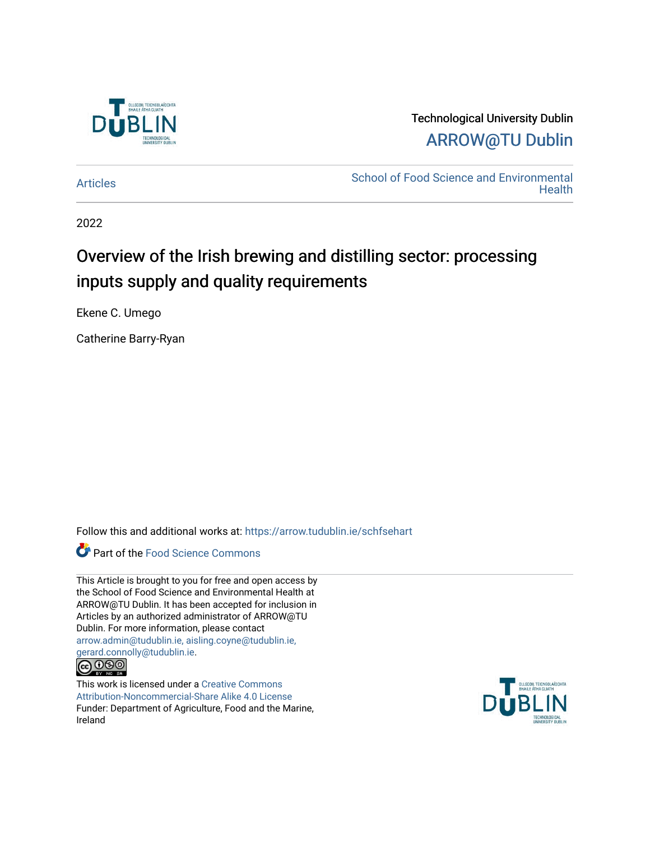

Technological University Dublin [ARROW@TU Dublin](https://arrow.tudublin.ie/) 

[Articles](https://arrow.tudublin.ie/schfsehart) **School of Food Science and Environmental Health** 

2022

# Overview of the Irish brewing and distilling sector: processing inputs supply and quality requirements

Ekene C. Umego

Catherine Barry-Ryan

Follow this and additional works at: [https://arrow.tudublin.ie/schfsehart](https://arrow.tudublin.ie/schfsehart?utm_source=arrow.tudublin.ie%2Fschfsehart%2F481&utm_medium=PDF&utm_campaign=PDFCoverPages) 

Part of the [Food Science Commons](http://network.bepress.com/hgg/discipline/84?utm_source=arrow.tudublin.ie%2Fschfsehart%2F481&utm_medium=PDF&utm_campaign=PDFCoverPages) 

This Article is brought to you for free and open access by the School of Food Science and Environmental Health at ARROW@TU Dublin. It has been accepted for inclusion in Articles by an authorized administrator of ARROW@TU Dublin. For more information, please contact [arrow.admin@tudublin.ie, aisling.coyne@tudublin.ie,](mailto:arrow.admin@tudublin.ie,%20aisling.coyne@tudublin.ie,%20gerard.connolly@tudublin.ie)  [gerard.connolly@tudublin.ie](mailto:arrow.admin@tudublin.ie,%20aisling.coyne@tudublin.ie,%20gerard.connolly@tudublin.ie).



This work is licensed under a [Creative Commons](http://creativecommons.org/licenses/by-nc-sa/4.0/) [Attribution-Noncommercial-Share Alike 4.0 License](http://creativecommons.org/licenses/by-nc-sa/4.0/) Funder: Department of Agriculture, Food and the Marine, Ireland

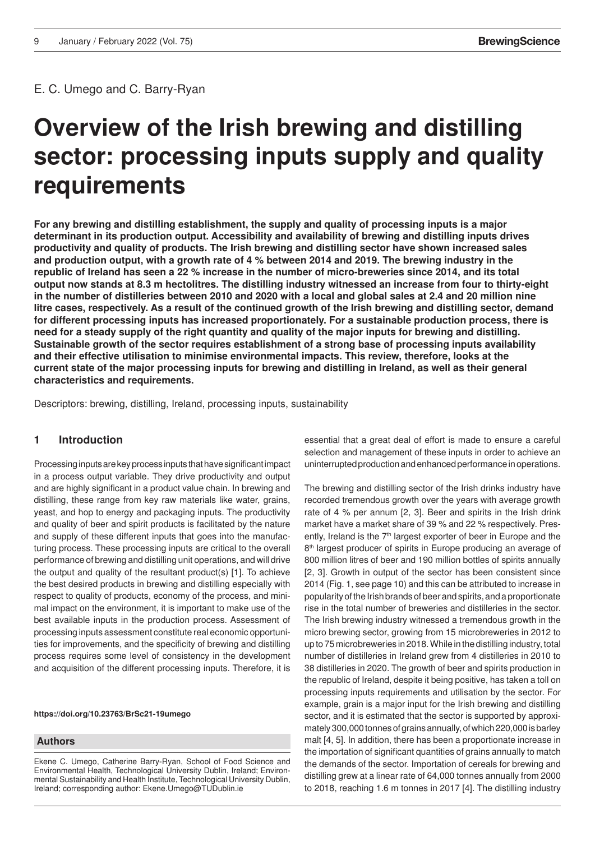E. C. Umego and C. Barry-Ryan

# **Overview of the Irish brewing and distilling** of the Versuchs- und Lehranstalt für Brauerei in Berlin (VLB) sector: processing inputs supply and quality **requirements**

**For any brewing and distilling establishment, the supply and quality of processing inputs is a major determinant in its production output. Accessibility and availability of brewing and distilling inputs drives productivity and quality of products. The Irish brewing and distilling sector have shown increased sales and production output, with a growth rate of 4 % between 2014 and 2019. The brewing industry in the republic of Ireland has seen a 22 % increase in the number of micro-breweries since 2014, and its total output now stands at 8.3 m hectolitres. The distilling industry witnessed an increase from four to thirty-eight in the number of distilleries between 2010 and 2020 with a local and global sales at 2.4 and 20 million nine litre cases, respectively. As a result of the continued growth of the Irish brewing and distilling sector, demand for different processing inputs has increased proportionately. For a sustainable production process, there is need for a steady supply of the right quantity and quality of the major inputs for brewing and distilling. Sustainable growth of the sector requires establishment of a strong base of processing inputs availability and their effective utilisation to minimise environmental impacts. This review, therefore, looks at the current state of the major processing inputs for brewing and distilling in Ireland, as well as their general characteristics and requirements.**

Descriptors: brewing, distilling, Ireland, processing inputs, sustainability

## **1 Introduction**

Processing inputs are key process inputs that have significant impact in a process output variable. They drive productivity and output and are highly significant in a product value chain. In brewing and distilling, these range from key raw materials like water, grains, yeast, and hop to energy and packaging inputs. The productivity and quality of beer and spirit products is facilitated by the nature and supply of these different inputs that goes into the manufacturing process. These processing inputs are critical to the overall performance of brewing and distilling unit operations, and will drive the output and quality of the resultant product(s) [1]. To achieve the best desired products in brewing and distilling especially with respect to quality of products, economy of the process, and minimal impact on the environment, it is important to make use of the best available inputs in the production process. Assessment of processing inputs assessment constitute real economic opportunities for improvements, and the specificity of brewing and distilling process requires some level of consistency in the development and acquisition of the different processing inputs. Therefore, it is

**https://doi.org/10.23763/BrSc21-19umego**

#### **Authors**

Ekene C. Umego, Catherine Barry-Ryan, School of Food Science and Environmental Health, Technological University Dublin, Ireland; Environmental Sustainability and Health Institute, Technological University Dublin, Ireland; corresponding author: Ekene.Umego@TUDublin.ie

essential that a great deal of effort is made to ensure a careful selection and management of these inputs in order to achieve an uninterrupted production and enhanced performance in operations.

The brewing and distilling sector of the Irish drinks industry have recorded tremendous growth over the years with average growth rate of 4 % per annum [2, 3]. Beer and spirits in the Irish drink market have a market share of 39 % and 22 % respectively. Presently, Ireland is the 7<sup>th</sup> largest exporter of beer in Europe and the 8<sup>th</sup> largest producer of spirits in Europe producing an average of 800 million litres of beer and 190 million bottles of spirits annually [2, 3]. Growth in output of the sector has been consistent since 2014 (Fig. 1, see page 10) and this can be attributed to increase in popularity of the Irish brands of beer and spirits, and a proportionate rise in the total number of breweries and distilleries in the sector. The Irish brewing industry witnessed a tremendous growth in the micro brewing sector, growing from 15 microbreweries in 2012 to up to 75 microbreweries in 2018. While in the distilling industry, total number of distilleries in Ireland grew from 4 distilleries in 2010 to 38 distilleries in 2020. The growth of beer and spirits production in the republic of Ireland, despite it being positive, has taken a toll on processing inputs requirements and utilisation by the sector. For example, grain is a major input for the Irish brewing and distilling sector, and it is estimated that the sector is supported by approximately 300,000 tonnes of grains annually, of which 220,000 is barley malt [4, 5]. In addition, there has been a proportionate increase in the importation of significant quantities of grains annually to match the demands of the sector. Importation of cereals for brewing and distilling grew at a linear rate of 64,000 tonnes annually from 2000 to 2018, reaching 1.6 m tonnes in 2017 [4]. The distilling industry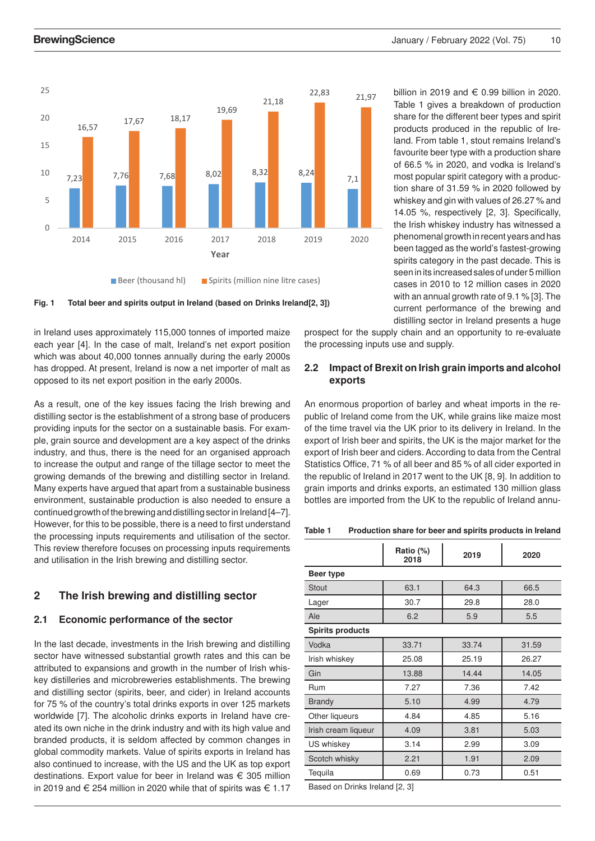

Beer (thousand hl) Spirits (million nine litre cases)



in Ireland uses approximately 115,000 tonnes of imported maize each year [4]. In the case of malt, Ireland's net export position which was about 40,000 tonnes annually during the early 2000s has dropped. At present, Ireland is now a net importer of malt as opposed to its net export position in the early 2000s.

As a result, one of the key issues facing the Irish brewing and distilling sector is the establishment of a strong base of producers providing inputs for the sector on a sustainable basis. For example, grain source and development are a key aspect of the drinks industry, and thus, there is the need for an organised approach to increase the output and range of the tillage sector to meet the growing demands of the brewing and distilling sector in Ireland. Many experts have argued that apart from a sustainable business environment, sustainable production is also needed to ensure a continued growth of the brewing and distilling sector in Ireland [4–7]. However, for this to be possible, there is a need to first understand the processing inputs requirements and utilisation of the sector. This review therefore focuses on processing inputs requirements and utilisation in the Irish brewing and distilling sector.

# **2 The Irish brewing and distilling sector**

### **2.1 Economic performance of the sector**

In the last decade, investments in the Irish brewing and distilling sector have witnessed substantial growth rates and this can be attributed to expansions and growth in the number of Irish whiskey distilleries and microbreweries establishments. The brewing and distilling sector (spirits, beer, and cider) in Ireland accounts for 75 % of the country's total drinks exports in over 125 markets worldwide [7]. The alcoholic drinks exports in Ireland have created its own niche in the drink industry and with its high value and branded products, it is seldom affected by common changes in global commodity markets. Value of spirits exports in Ireland has also continued to increase, with the US and the UK as top export destinations. Export value for beer in Ireland was € 305 million in 2019 and € 254 million in 2020 while that of spirits was  $\in$  1.17 billion in 2019 and  $\in$  0.99 billion in 2020. Table 1 gives a breakdown of production share for the different beer types and spirit products produced in the republic of Ireland. From table 1, stout remains Ireland's favourite beer type with a production share of 66.5 % in 2020, and vodka is Ireland's most popular spirit category with a production share of 31.59 % in 2020 followed by whiskey and gin with values of 26.27 % and 14.05 %, respectively [2, 3]. Specifically, the Irish whiskey industry has witnessed a phenomenal growth in recent years and has been tagged as the world's fastest-growing spirits category in the past decade. This is seen in its increased sales of under 5 million cases in 2010 to 12 million cases in 2020 with an annual growth rate of 9.1 % [3]. The current performance of the brewing and distilling sector in Ireland presents a huge

prospect for the supply chain and an opportunity to re-evaluate the processing inputs use and supply.

## **2.2 Impact of Brexit on Irish grain imports and alcohol exports**

An enormous proportion of barley and wheat imports in the republic of Ireland come from the UK, while grains like maize most of the time travel via the UK prior to its delivery in Ireland. In the export of Irish beer and spirits, the UK is the major market for the export of Irish beer and ciders. According to data from the Central Statistics Office, 71 % of all beer and 85 % of all cider exported in the republic of Ireland in 2017 went to the UK [8, 9]. In addition to grain imports and drinks exports, an estimated 130 million glass bottles are imported from the UK to the republic of Ireland annu-

**Table 1 Production share for beer and spirits products in Ireland**

|                         | Ratio (%)<br>2018 | 2019  | 2020  |
|-------------------------|-------------------|-------|-------|
| Beer type               |                   |       |       |
| <b>Stout</b>            | 63.1              | 64.3  | 66.5  |
| Lager                   | 30.7              | 29.8  | 28.0  |
| Ale                     | 6.2               | 5.9   | 5.5   |
| <b>Spirits products</b> |                   |       |       |
| Vodka                   | 33.71             | 33.74 | 31.59 |
| Irish whiskey           | 25.08             | 25.19 | 26.27 |
| Gin                     | 13.88             | 14.44 | 14.05 |
| Rum                     | 7.27              | 7.36  | 7.42  |
| <b>Brandy</b>           | 5.10              | 4.99  | 4.79  |
| Other liqueurs          | 4.84              | 4.85  | 5.16  |
| Irish cream liqueur     | 4.09              | 3.81  | 5.03  |
| US whiskey              | 3.14              | 2.99  | 3.09  |
| Scotch whisky           | 2.21              | 1.91  | 2.09  |
| Tequila                 | 0.69              | 0.73  | 0.51  |
| $\sim$<br>$\mathbf{r}$  |                   |       |       |

Based on Drinks Ireland [2, 3]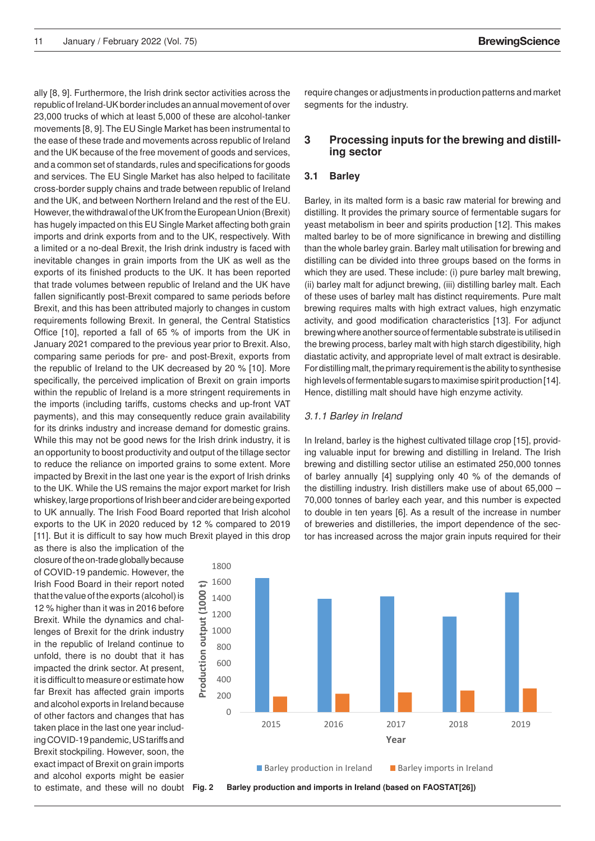ally [8, 9]. Furthermore, the Irish drink sector activities across the republic of Ireland-UK border includes an annual movement of over 23,000 trucks of which at least 5,000 of these are alcohol-tanker movements [8, 9]. The EU Single Market has been instrumental to the ease of these trade and movements across republic of Ireland and the UK because of the free movement of goods and services, and a common set of standards, rules and specifications for goods and services. The EU Single Market has also helped to facilitate cross-border supply chains and trade between republic of Ireland and the UK, and between Northern Ireland and the rest of the EU. However, the withdrawal of the UK from the European Union (Brexit) has hugely impacted on this EU Single Market affecting both grain imports and drink exports from and to the UK, respectively. With a limited or a no-deal Brexit, the Irish drink industry is faced with inevitable changes in grain imports from the UK as well as the exports of its finished products to the UK. It has been reported that trade volumes between republic of Ireland and the UK have fallen significantly post-Brexit compared to same periods before Brexit, and this has been attributed majorly to changes in custom requirements following Brexit. In general, the Central Statistics Office [10], reported a fall of 65 % of imports from the UK in January 2021 compared to the previous year prior to Brexit. Also, comparing same periods for pre- and post-Brexit, exports from the republic of Ireland to the UK decreased by 20 % [10]. More specifically, the perceived implication of Brexit on grain imports within the republic of Ireland is a more stringent requirements in the imports (including tariffs, customs checks and up-front VAT payments), and this may consequently reduce grain availability for its drinks industry and increase demand for domestic grains. While this may not be good news for the Irish drink industry, it is an opportunity to boost productivity and output of the tillage sector to reduce the reliance on imported grains to some extent. More impacted by Brexit in the last one year is the export of Irish drinks to the UK. While the US remains the major export market for Irish whiskey, large proportions of Irish beer and cider are being exported to UK annually. The Irish Food Board reported that Irish alcohol exports to the UK in 2020 reduced by 12 % compared to 2019 [11]. But it is difficult to say how much Brexit played in this drop

as there is also the implication of the closure of the on-trade globally because of COVID-19 pandemic. However, the Irish Food Board in their report noted that the value of the exports (alcohol) is 12 % higher than it was in 2016 before Brexit. While the dynamics and challenges of Brexit for the drink industry in the republic of Ireland continue to unfold, there is no doubt that it has impacted the drink sector. At present, it is difficult to measure or estimate how far Brexit has affected grain imports and alcohol exports in Ireland because of other factors and changes that has taken place in the last one year including COVID-19 pandemic, US tariffs and Brexit stockpiling. However, soon, the exact impact of Brexit on grain imports and alcohol exports might be easier to estimate, and these will no doubt Fig. 2 require changes or adjustments in production patterns and market segments for the industry.

# 3 Processing inputs for the brewing and distill**ing sector**

#### **3.1 Barley**

Barley, in its malted form is a basic raw material for brewing and distilling. It provides the primary source of fermentable sugars for yeast metabolism in beer and spirits production [12]. This makes malted barley to be of more significance in brewing and distilling than the whole barley grain. Barley malt utilisation for brewing and distilling can be divided into three groups based on the forms in which they are used. These include: (i) pure barley malt brewing, (ii) barley malt for adjunct brewing, (iii) distilling barley malt. Each of these uses of barley malt has distinct requirements. Pure malt brewing requires malts with high extract values, high enzymatic activity, and good modification characteristics [13]. For adjunct brewing where another source of fermentable substrate is utilised in the brewing process, barley malt with high starch digestibility, high diastatic activity, and appropriate level of malt extract is desirable. For distilling malt, the primary requirement is the ability to synthesise high levels of fermentable sugars to maximise spirit production [14]. Hence, distilling malt should have high enzyme activity.

#### *3.1.1 Barley in Ireland*

In Ireland, barley is the highest cultivated tillage crop [15], providing valuable input for brewing and distilling in Ireland. The Irish brewing and distilling sector utilise an estimated 250,000 tonnes of barley annually [4] supplying only 40 % of the demands of the distilling industry. Irish distillers make use of about 65,000 – 70,000 tonnes of barley each year, and this number is expected to double in ten years [6]. As a result of the increase in number of breweries and distilleries, the import dependence of the sector has increased across the major grain inputs required for their



**Fig. 2 Barley production and imports in Ireland (based on FAOSTAT[26])**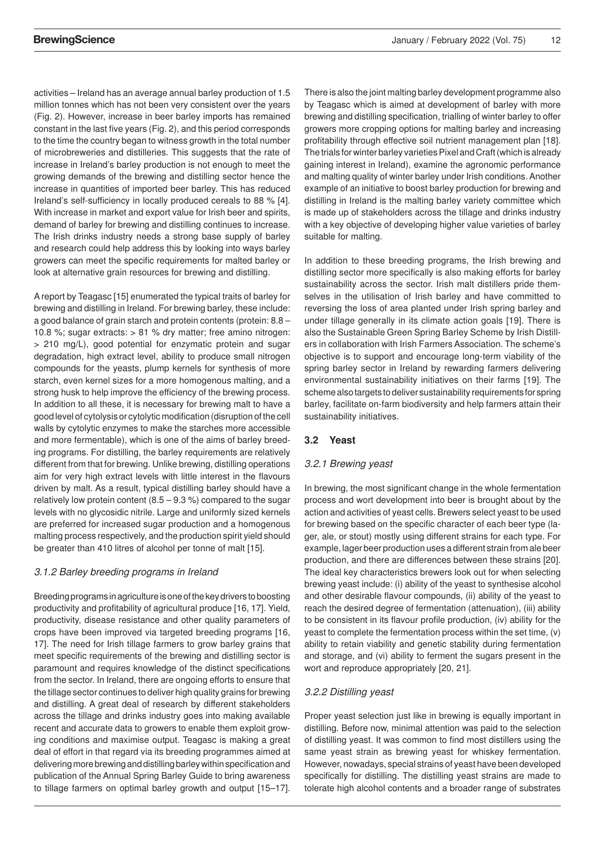constant in the last five years (Fig. 2), and this period corresponds to the time the country began to witness growth in the total number activities – Ireland has an average annual barley production of 1.5 million tonnes which has not been very consistent over the years (Fig. 2). However, increase in beer barley imports has remained of microbreweries and distilleries. This suggests that the rate of increase in Ireland's barley production is not enough to meet the growing demands of the brewing and distilling sector hence the increase in quantities of imported beer barley. This has reduced Ireland's self-sufficiency in locally produced cereals to 88 % [4]. With increase in market and export value for Irish beer and spirits, demand of barley for brewing and distilling continues to increase. The Irish drinks industry needs a strong base supply of barley and research could help address this by looking into ways barley growers can meet the specific requirements for malted barley or look at alternative grain resources for brewing and distilling.

A report by Teagasc [15] enumerated the typical traits of barley for brewing and distilling in Ireland. For brewing barley, these include: a good balance of grain starch and protein contents (protein: 8.8 – 10.8 %; sugar extracts: > 81 % dry matter; free amino nitrogen: > 210 mg/L), good potential for enzymatic protein and sugar degradation, high extract level, ability to produce small nitrogen compounds for the yeasts, plump kernels for synthesis of more starch, even kernel sizes for a more homogenous malting, and a strong husk to help improve the efficiency of the brewing process. In addition to all these, it is necessary for brewing malt to have a good level of cytolysis or cytolytic modification (disruption of the cell walls by cytolytic enzymes to make the starches more accessible and more fermentable), which is one of the aims of barley breeding programs. For distilling, the barley requirements are relatively different from that for brewing. Unlike brewing, distilling operations aim for very high extract levels with little interest in the flavours driven by malt. As a result, typical distilling barley should have a relatively low protein content  $(8.5 - 9.3 \%)$  compared to the sugar levels with no glycosidic nitrile. Large and uniformly sized kernels are preferred for increased sugar production and a homogenous malting process respectively, and the production spirit yield should be greater than 410 litres of alcohol per tonne of malt [15].

## *3.1.2 Barley breeding programs in Ireland*

Breeding programs in agriculture is one of the key drivers to boosting productivity and profitability of agricultural produce [16, 17]. Yield, productivity, disease resistance and other quality parameters of crops have been improved via targeted breeding programs [16, 17]. The need for Irish tillage farmers to grow barley grains that meet specific requirements of the brewing and distilling sector is paramount and requires knowledge of the distinct specifications from the sector. In Ireland, there are ongoing efforts to ensure that the tillage sector continues to deliver high quality grains for brewing and distilling. A great deal of research by different stakeholders across the tillage and drinks industry goes into making available recent and accurate data to growers to enable them exploit growing conditions and maximise output. Teagasc is making a great deal of effort in that regard via its breeding programmes aimed at delivering more brewing and distilling barley within specification and publication of the Annual Spring Barley Guide to bring awareness to tillage farmers on optimal barley growth and output [15–17].

There is also the joint malting barley development programme also by Teagasc which is aimed at development of barley with more brewing and distilling specification, trialling of winter barley to offer growers more cropping options for malting barley and increasing profitability through effective soil nutrient management plan [18]. The trials for winter barley varieties Pixel and Craft (which is already gaining interest in Ireland), examine the agronomic performance and malting quality of winter barley under Irish conditions. Another example of an initiative to boost barley production for brewing and distilling in Ireland is the malting barley variety committee which is made up of stakeholders across the tillage and drinks industry with a key objective of developing higher value varieties of barley suitable for malting.

In addition to these breeding programs, the Irish brewing and distilling sector more specifically is also making efforts for barley sustainability across the sector. Irish malt distillers pride themselves in the utilisation of Irish barley and have committed to reversing the loss of area planted under Irish spring barley and under tillage generally in its climate action goals [19]. There is also the Sustainable Green Spring Barley Scheme by Irish Distillers in collaboration with Irish Farmers Association. The scheme's objective is to support and encourage long-term viability of the spring barley sector in Ireland by rewarding farmers delivering environmental sustainability initiatives on their farms [19]. The scheme also targets to deliver sustainability requirements for spring barley, facilitate on-farm biodiversity and help farmers attain their sustainability initiatives.

## **3.2 Yeast**

## *3.2.1 Brewing yeast*

In brewing, the most significant change in the whole fermentation process and wort development into beer is brought about by the action and activities of yeast cells. Brewers select yeast to be used for brewing based on the specific character of each beer type (lager, ale, or stout) mostly using different strains for each type. For example, lager beer production uses a different strain from ale beer production, and there are differences between these strains [20]. The ideal key characteristics brewers look out for when selecting brewing yeast include: (i) ability of the yeast to synthesise alcohol and other desirable flavour compounds, (ii) ability of the yeast to reach the desired degree of fermentation (attenuation), (iii) ability to be consistent in its flavour profile production, (iv) ability for the yeast to complete the fermentation process within the set time, (v) ability to retain viability and genetic stability during fermentation and storage, and (vi) ability to ferment the sugars present in the wort and reproduce appropriately [20, 21].

## *3.2.2 Distilling yeast*

Proper yeast selection just like in brewing is equally important in distilling. Before now, minimal attention was paid to the selection of distilling yeast. It was common to find most distillers using the same yeast strain as brewing yeast for whiskey fermentation. However, nowadays, special strains of yeast have been developed specifically for distilling. The distilling yeast strains are made to tolerate high alcohol contents and a broader range of substrates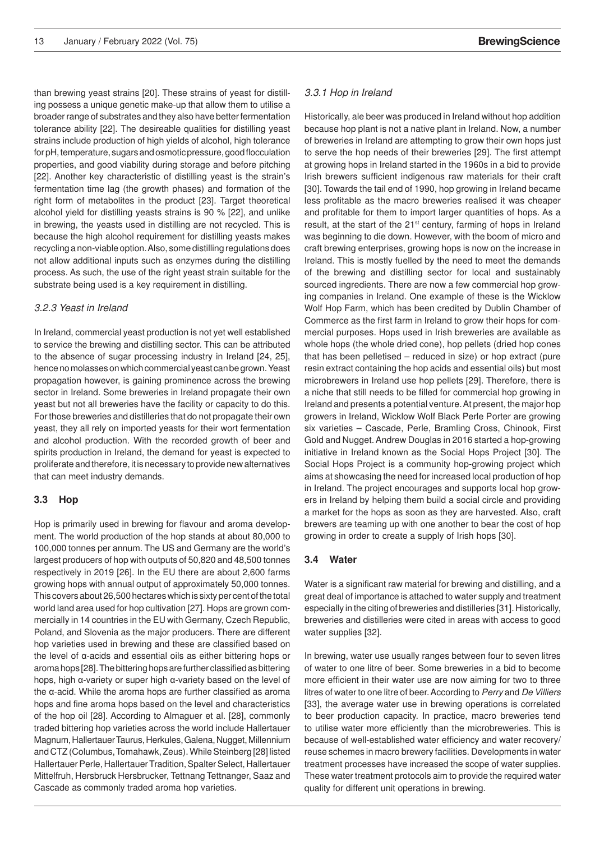than brewing yeast strains [20]. These strains of yeast for distilling possess a unique genetic make-up that allow them to utilise a broader range of substrates and they also have better fermentation tolerance ability [22]. The desireable qualities for distilling yeast strains include production of high yields of alcohol, high tolerance for pH, temperature, sugars and osmotic pressure, good flocculation properties, and good viability during storage and before pitching [22]. Another key characteristic of distilling yeast is the strain's fermentation time lag (the growth phases) and formation of the right form of metabolites in the product [23]. Target theoretical alcohol yield for distilling yeasts strains is 90 % [22], and unlike in brewing, the yeasts used in distilling are not recycled. This is because the high alcohol requirement for distilling yeasts makes recycling a non-viable option. Also, some distilling regulations does not allow additional inputs such as enzymes during the distilling process. As such, the use of the right yeast strain suitable for the substrate being used is a key requirement in distilling.

#### *3.2.3 Yeast in Ireland*

In Ireland, commercial yeast production is not yet well established to service the brewing and distilling sector. This can be attributed to the absence of sugar processing industry in Ireland [24, 25], hence no molasses on which commercial yeast can be grown. Yeast propagation however, is gaining prominence across the brewing sector in Ireland. Some breweries in Ireland propagate their own yeast but not all breweries have the facility or capacity to do this. For those breweries and distilleries that do not propagate their own yeast, they all rely on imported yeasts for their wort fermentation and alcohol production. With the recorded growth of beer and spirits production in Ireland, the demand for yeast is expected to proliferate and therefore, it is necessary to provide new alternatives that can meet industry demands.

#### **3.3 Hop**

Hop is primarily used in brewing for flavour and aroma development. The world production of the hop stands at about 80,000 to 100,000 tonnes per annum. The US and Germany are the world's largest producers of hop with outputs of 50,820 and 48,500 tonnes respectively in 2019 [26]. In the EU there are about 2,600 farms growing hops with annual output of approximately 50,000 tonnes. This covers about 26,500 hectares which is sixty per cent of the total world land area used for hop cultivation [27]. Hops are grown commercially in 14 countries in the EU with Germany, Czech Republic, Poland, and Slovenia as the major producers. There are different hop varieties used in brewing and these are classified based on the level of α-acids and essential oils as either bittering hops or aroma hops [28]. The bittering hops are further classified as bittering hops, high α-variety or super high α-variety based on the level of the α-acid. While the aroma hops are further classified as aroma hops and fine aroma hops based on the level and characteristics of the hop oil [28]. According to Almaguer et al. [28], commonly traded bittering hop varieties across the world include Hallertauer Magnum, Hallertauer Taurus, Herkules, Galena, Nugget, Millennium and CTZ (Columbus, Tomahawk, Zeus). While Steinberg [28] listed Hallertauer Perle, Hallertauer Tradition, Spalter Select, Hallertauer Mittelfruh, Hersbruck Hersbrucker, Tettnang Tettnanger, Saaz and Cascade as commonly traded aroma hop varieties.

#### *3.3.1 Hop in Ireland*

because hop plant is not a native plant in Ireland. Now, a number of breweries in Ireland are attempting to grow their own hops just Historically, ale beer was produced in Ireland without hop addition to serve the hop needs of their breweries [29]. The first attempt at growing hops in Ireland started in the 1960s in a bid to provide Irish brewers sufficient indigenous raw materials for their craft [30]. Towards the tail end of 1990, hop growing in Ireland became less profitable as the macro breweries realised it was cheaper and profitable for them to import larger quantities of hops. As a result, at the start of the 21<sup>st</sup> century, farming of hops in Ireland was beginning to die down. However, with the boom of micro and craft brewing enterprises, growing hops is now on the increase in Ireland. This is mostly fuelled by the need to meet the demands of the brewing and distilling sector for local and sustainably sourced ingredients. There are now a few commercial hop growing companies in Ireland. One example of these is the Wicklow Wolf Hop Farm, which has been credited by Dublin Chamber of Commerce as the first farm in Ireland to grow their hops for commercial purposes. Hops used in Irish breweries are available as whole hops (the whole dried cone), hop pellets (dried hop cones that has been pelletised – reduced in size) or hop extract (pure resin extract containing the hop acids and essential oils) but most microbrewers in Ireland use hop pellets [29]. Therefore, there is a niche that still needs to be filled for commercial hop growing in Ireland and presents a potential venture. At present, the major hop growers in Ireland, Wicklow Wolf Black Perle Porter are growing six varieties – Cascade, Perle, Bramling Cross, Chinook, First Gold and Nugget. Andrew Douglas in 2016 started a hop-growing initiative in Ireland known as the Social Hops Project [30]. The Social Hops Project is a community hop-growing project which aims at showcasing the need for increased local production of hop in Ireland. The project encourages and supports local hop growers in Ireland by helping them build a social circle and providing a market for the hops as soon as they are harvested. Also, craft brewers are teaming up with one another to bear the cost of hop growing in order to create a supply of Irish hops [30].

#### **3.4 Water**

Water is a significant raw material for brewing and distilling, and a great deal of importance is attached to water supply and treatment especially in the citing of breweries and distilleries [31]. Historically, breweries and distilleries were cited in areas with access to good water supplies [32].

In brewing, water use usually ranges between four to seven litres of water to one litre of beer. Some breweries in a bid to become more efficient in their water use are now aiming for two to three litres of water to one litre of beer. According to *Perry* and *De Villiers* [33], the average water use in brewing operations is correlated to beer production capacity. In practice, macro breweries tend to utilise water more efficiently than the microbreweries. This is because of well-established water efficiency and water recovery/ reuse schemes in macro brewery facilities. Developments in water treatment processes have increased the scope of water supplies. These water treatment protocols aim to provide the required water quality for different unit operations in brewing.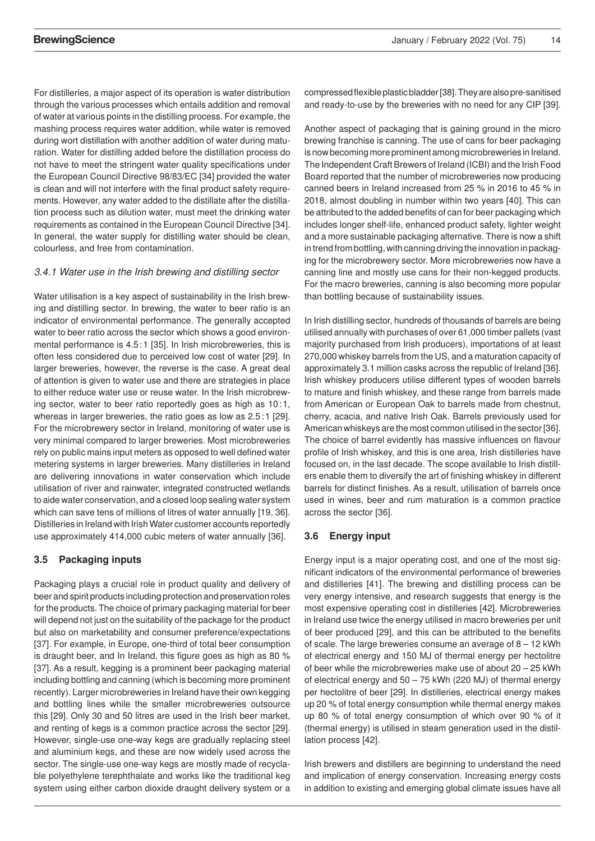mashing process requires water addition, while water is removed during wort distillation with another addition of water during matuof Doemens wba – Technikum GmbH in Graefelfing/Munich www.brauwissenschaft.de For distilleries, a major aspect of its operation is water distribution through the various processes which entails addition and removal of water at various points in the distilling process. For example, the ration. Water for distilling added before the distillation process do not have to meet the stringent water quality specifications under the European Council Directive 98/83/EC [34] provided the water is clean and will not interfere with the final product safety requirements. However, any water added to the distillate after the distillation process such as dilution water, must meet the drinking water requirements as contained in the European Council Directive [34]. In general, the water supply for distilling water should be clean, colourless, and free from contamination.

#### *3.4.1 Water use in the Irish brewing and distilling sector*

Water utilisation is a key aspect of sustainability in the Irish brewing and distilling sector. In brewing, the water to beer ratio is an indicator of environmental performance. The generally accepted water to beer ratio across the sector which shows a good environmental performance is 4.5:1 [35]. In Irish microbreweries, this is often less considered due to perceived low cost of water [29]. In larger breweries, however, the reverse is the case. A great deal of attention is given to water use and there are strategies in place to either reduce water use or reuse water. In the Irish microbrewing sector, water to beer ratio reportedly goes as high as 10:1, whereas in larger breweries, the ratio goes as low as 2.5:1 [29]. For the microbrewery sector in Ireland, monitoring of water use is very minimal compared to larger breweries. Most microbreweries rely on public mains input meters as opposed to well defined water metering systems in larger breweries. Many distilleries in Ireland are delivering innovations in water conservation which include utilisation of river and rainwater, integrated constructed wetlands to aide water conservation, and a closed loop sealing water system which can save tens of millions of litres of water annually [19, 36]. Distilleries in Ireland with Irish Water customer accounts reportedly use approximately 414,000 cubic meters of water annually [36].

#### **3.5 Packaging inputs**

Packaging plays a crucial role in product quality and delivery of beer and spirit products including protection and preservation roles for the products. The choice of primary packaging material for beer will depend not just on the suitability of the package for the product but also on marketability and consumer preference/expectations [37]. For example, in Europe, one-third of total beer consumption is draught beer, and In Ireland, this figure goes as high as 80 % [37]. As a result, kegging is a prominent beer packaging material including bottling and canning (which is becoming more prominent recently). Larger microbreweries in Ireland have their own kegging and bottling lines while the smaller microbreweries outsource this [29]. Only 30 and 50 litres are used in the Irish beer market, and renting of kegs is a common practice across the sector [29]. However, single-use one-way kegs are gradually replacing steel and aluminium kegs, and these are now widely used across the sector. The single-use one-way kegs are mostly made of recyclable polyethylene terephthalate and works like the traditional keg system using either carbon dioxide draught delivery system or a compressed flexible plastic bladder [38]. They are also pre-sanitised and ready-to-use by the breweries with no need for any CIP [39].

Another aspect of packaging that is gaining ground in the micro brewing franchise is canning. The use of cans for beer packaging is now becoming more prominent among microbreweries in Ireland. The Independent Craft Brewers of Ireland (ICBI) and the Irish Food Board reported that the number of microbreweries now producing canned beers in Ireland increased from 25 % in 2016 to 45 % in 2018, almost doubling in number within two years [40]. This can be attributed to the added benefits of can for beer packaging which includes longer shelf-life, enhanced product safety, lighter weight and a more sustainable packaging alternative. There is now a shift in trend from bottling, with canning driving the innovation in packaging for the microbrewery sector. More microbreweries now have a canning line and mostly use cans for their non-kegged products. For the macro breweries, canning is also becoming more popular than bottling because of sustainability issues.

In Irish distilling sector, hundreds of thousands of barrels are being utilised annually with purchases of over 61,000 timber pallets (vast majority purchased from Irish producers), importations of at least 270,000 whiskey barrels from the US, and a maturation capacity of approximately 3.1 million casks across the republic of Ireland [36]. Irish whiskey producers utilise different types of wooden barrels to mature and finish whiskey, and these range from barrels made from American or European Oak to barrels made from chestnut, cherry, acacia, and native Irish Oak. Barrels previously used for American whiskeys are the most common utilised in the sector [36]. The choice of barrel evidently has massive influences on flavour profile of Irish whiskey, and this is one area, Irish distilleries have focused on, in the last decade. The scope available to Irish distillers enable them to diversify the art of finishing whiskey in different barrels for distinct finishes. As a result, utilisation of barrels once used in wines, beer and rum maturation is a common practice across the sector [36].

## **3.6 Energy input**

Energy input is a major operating cost, and one of the most significant indicators of the environmental performance of breweries and distilleries [41]. The brewing and distilling process can be very energy intensive, and research suggests that energy is the most expensive operating cost in distilleries [42]. Microbreweries in Ireland use twice the energy utilised in macro breweries per unit of beer produced [29], and this can be attributed to the benefits of scale. The large breweries consume an average of 8 – 12 kWh of electrical energy and 150 MJ of thermal energy per hectolitre of beer while the microbreweries make use of about 20 – 25 kWh of electrical energy and 50 – 75 kWh (220 MJ) of thermal energy per hectolitre of beer [29]. In distilleries, electrical energy makes up 20 % of total energy consumption while thermal energy makes up 80 % of total energy consumption of which over 90 % of it (thermal energy) is utilised in steam generation used in the distillation process [42].

Irish brewers and distillers are beginning to understand the need and implication of energy conservation. Increasing energy costs in addition to existing and emerging global climate issues have all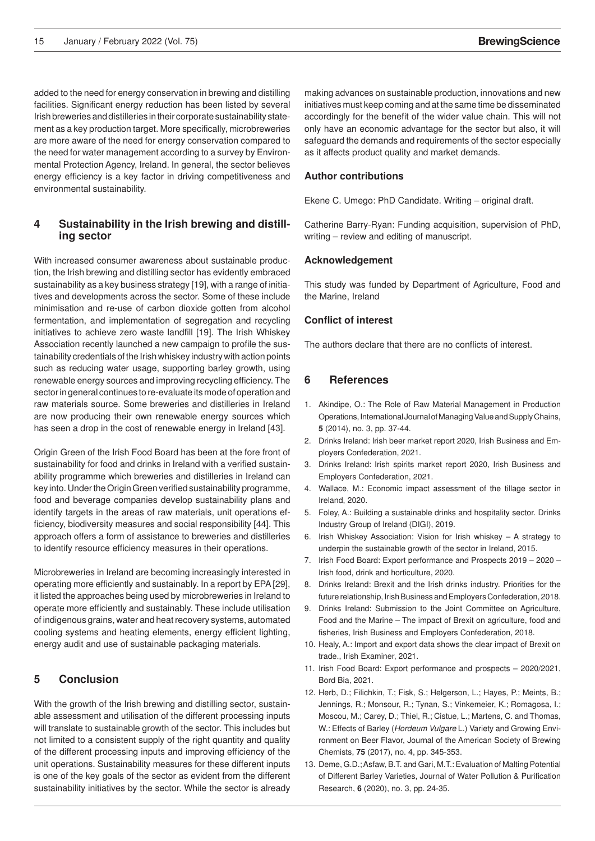added to the need for energy conservation in brewing and distilling facilities. Significant energy reduction has been listed by several Irish breweries and distilleries in their corporate sustainability statement as a key production target. More specifically, microbreweries are more aware of the need for energy conservation compared to the need for water management according to a survey by Environmental Protection Agency, Ireland. In general, the sector believes energy efficiency is a key factor in driving competitiveness and environmental sustainability.

## **4 Sustainability in the Irish brewing and distilling sector**

With increased consumer awareness about sustainable production, the Irish brewing and distilling sector has evidently embraced sustainability as a key business strategy [19], with a range of initiatives and developments across the sector. Some of these include minimisation and re-use of carbon dioxide gotten from alcohol fermentation, and implementation of segregation and recycling initiatives to achieve zero waste landfill [19]. The Irish Whiskey Association recently launched a new campaign to profile the sustainability credentials of the Irish whiskey industry with action points such as reducing water usage, supporting barley growth, using renewable energy sources and improving recycling efficiency. The sector in general continues to re-evaluate its mode of operation and raw materials source. Some breweries and distilleries in Ireland are now producing their own renewable energy sources which has seen a drop in the cost of renewable energy in Ireland [43].

Origin Green of the Irish Food Board has been at the fore front of sustainability for food and drinks in Ireland with a verified sustainability programme which breweries and distilleries in Ireland can key into. Under the Origin Green verified sustainability programme, food and beverage companies develop sustainability plans and identify targets in the areas of raw materials, unit operations efficiency, biodiversity measures and social responsibility [44]. This approach offers a form of assistance to breweries and distilleries to identify resource efficiency measures in their operations.

Microbreweries in Ireland are becoming increasingly interested in operating more efficiently and sustainably. In a report by EPA [29], it listed the approaches being used by microbreweries in Ireland to operate more efficiently and sustainably. These include utilisation of indigenous grains, water and heat recovery systems, automated cooling systems and heating elements, energy efficient lighting, energy audit and use of sustainable packaging materials.

## **5 Conclusion**

With the growth of the Irish brewing and distilling sector, sustainable assessment and utilisation of the different processing inputs will translate to sustainable growth of the sector. This includes but not limited to a consistent supply of the right quantity and quality of the different processing inputs and improving efficiency of the unit operations. Sustainability measures for these different inputs is one of the key goals of the sector as evident from the different sustainability initiatives by the sector. While the sector is already

only have an economic advantage for the sector but also, it will safeguard the demands and requirements of the sector especially making advances on sustainable production, innovations and new initiatives must keep coming and at the same time be disseminated accordingly for the benefit of the wider value chain. This will not as it affects product quality and market demands.

#### **Author contributions**

Ekene C. Umego: PhD Candidate. Writing – original draft.

Catherine Barry-Ryan: Funding acquisition, supervision of PhD, writing – review and editing of manuscript.

#### **Acknowledgement**

This study was funded by Department of Agriculture, Food and the Marine, Ireland

## **Conflict of interest**

The authors declare that there are no conflicts of interest.

## **6 References**

- 1. Akindipe, O.: The Role of Raw Material Management in Production Operations, International Journal of Managing Value and Supply Chains, **5** (2014), no. 3, pp. 37-44.
- 2. Drinks Ireland: Irish beer market report 2020, Irish Business and Employers Confederation, 2021.
- 3. Drinks Ireland: Irish spirits market report 2020, Irish Business and Employers Confederation, 2021.
- 4. Wallace, M.: Economic impact assessment of the tillage sector in Ireland, 2020.
- 5. Foley, A.: Building a sustainable drinks and hospitality sector. Drinks Industry Group of Ireland (DIGI), 2019.
- 6. Irish Whiskey Association: Vision for Irish whiskey A strategy to underpin the sustainable growth of the sector in Ireland, 2015.
- 7. Irish Food Board: Export performance and Prospects 2019 2020 Irish food, drink and horticulture, 2020.
- 8. Drinks Ireland: Brexit and the Irish drinks industry. Priorities for the future relationship, Irish Business and Employers Confederation, 2018.
- 9. Drinks Ireland: Submission to the Joint Committee on Agriculture, Food and the Marine – The impact of Brexit on agriculture, food and fisheries, Irish Business and Employers Confederation, 2018.
- 10. Healy, A.: Import and export data shows the clear impact of Brexit on trade., Irish Examiner, 2021.
- 11. Irish Food Board: Export performance and prospects 2020/2021, Bord Bia, 2021.
- 12. Herb, D.; Filichkin, T.; Fisk, S.; Helgerson, L.; Hayes, P.; Meints, B.; Jennings, R.; Monsour, R.; Tynan, S.; Vinkemeier, K.; Romagosa, I.; Moscou, M.; Carey, D.; Thiel, R.; Cistue, L.; Martens, C. and Thomas, W.: Effects of Barley (*Hordeum Vulgare* L.) Variety and Growing Environment on Beer Flavor, Journal of the American Society of Brewing Chemists, **75** (2017), no. 4, pp. 345-353.
- 13. Deme, G.D.; Asfaw, B.T. and Gari, M.T.: Evaluation of Malting Potential of Different Barley Varieties, Journal of Water Pollution & Purification Research, **6** (2020), no. 3, pp. 24-35.